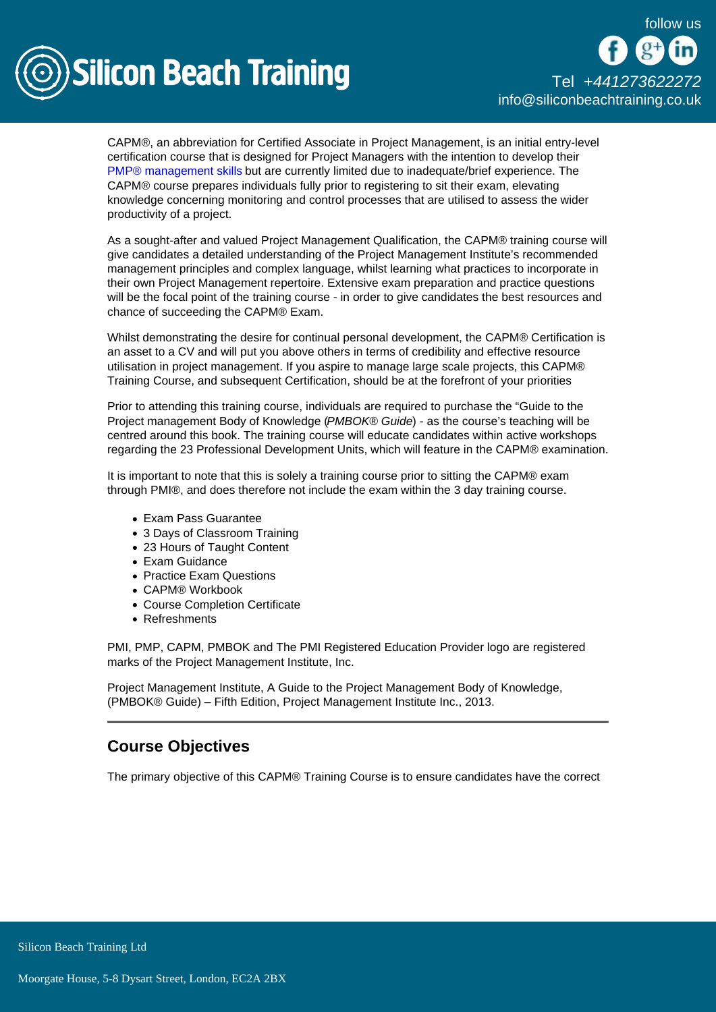

CAPM®, an abbreviation for Certified Associate in Project Management, is an initial entry-level certification course that is designed for Project Managers with the intention to develop their [PMP® management skills](/pmp-training) but are currently limited due to inadequate/brief experience. The CAPM® course prepares individuals fully prior to registering to sit their exam, elevating knowledge concerning monitoring and control processes that are utilised to assess the wider productivity of a project.

As a sought-after and valued Project Management Qualification, the CAPM® training course will give candidates a detailed understanding of the Project Management Institute's recommended management principles and complex language, whilst learning what practices to incorporate in their own Project Management repertoire. Extensive exam preparation and practice questions will be the focal point of the training course - in order to give candidates the best resources and chance of succeeding the CAPM® Exam.

Whilst demonstrating the desire for continual personal development, the CAPM® Certification is an asset to a CV and will put you above others in terms of credibility and effective resource utilisation in project management. If you aspire to manage large scale projects, this CAPM® Training Course, and subsequent Certification, should be at the forefront of your priorities

Prior to attending this training course, individuals are required to purchase the "Guide to the Project management Body of Knowledge (PMBOK® Guide) - as the course's teaching will be centred around this book. The training course will educate candidates within active workshops regarding the 23 Professional Development Units, which will feature in the CAPM® examination.

It is important to note that this is solely a training course prior to sitting the CAPM® exam through PMI®, and does therefore not include the exam within the 3 day training course.

- Exam Pass Guarantee
- 3 Days of Classroom Training
- 23 Hours of Taught Content
- Exam Guidance
- Practice Exam Questions
- CAPM® Workbook
- Course Completion Certificate
- Refreshments

PMI, PMP, CAPM, PMBOK and The PMI Registered Education Provider logo are registered marks of the Project Management Institute, Inc.

Project Management Institute, A Guide to the Project Management Body of Knowledge, (PMBOK® Guide) – Fifth Edition, Project Management Institute Inc., 2013.

## Course Objectives

The primary objective of this CAPM® Training Course is to ensure candidates have the correct

Silicon Beach Training Ltd